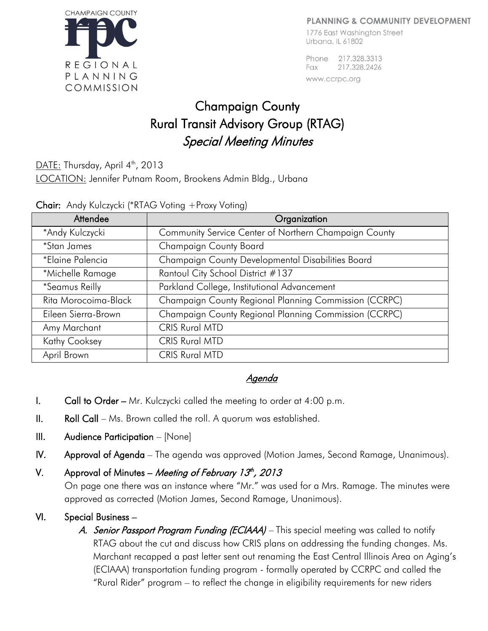### **PLANNING & COMMUNITY DEVELOPMENT**



1776 East Washinaton Street Urbana, IL 61802

Phone 217,328,3313 Fax 217.328.2426 www.ccrpc.org

# Champaign County Rural Transit Advisory Group (RTAG) Special Meeting Minutes

DATE: Thursday, April  $4^{\text{th}}$ , 2013

LOCATION: Jennifer Putnam Room, Brookens Admin Bldg., Urbana

|  |  | Chair: Andy Kulczycki (*RTAG Voting +Proxy Voting) |  |  |  |  |
|--|--|----------------------------------------------------|--|--|--|--|
|--|--|----------------------------------------------------|--|--|--|--|

| Attendee             | Organization                                          |  |  |  |
|----------------------|-------------------------------------------------------|--|--|--|
| *Andy Kulczycki      | Community Service Center of Northern Champaign County |  |  |  |
| <i>*Stan James</i>   | Champaign County Board                                |  |  |  |
| *Elaine Palencia     | Champaign County Developmental Disabilities Board     |  |  |  |
| *Michelle Ramage     | Rantoul City School District #137                     |  |  |  |
| *Seamus Reilly       | Parkland College, Institutional Advancement           |  |  |  |
| Rita Morocoima-Black | Champaign County Regional Planning Commission (CCRPC) |  |  |  |
| Eileen Sierra-Brown  | Champaign County Regional Planning Commission (CCRPC) |  |  |  |
| Amy Marchant         | <b>CRIS Rural MTD</b>                                 |  |  |  |
| <b>Kathy Cooksey</b> | <b>CRIS Rural MTD</b>                                 |  |  |  |
| April Brown          | <b>CRIS Rural MTD</b>                                 |  |  |  |

## Agenda

- **I.** Call to Order Mr. Kulczycki called the meeting to order at  $4:00$  p.m.
- II. Roll Call Ms. Brown called the roll. A quorum was established.
- III. Audience Participation [None]
- IV. Approval of Agenda The agenda was approved (Motion James, Second Ramage, Unanimous).

## V. Approval of Minutes – *Meeting of February 13<sup>th</sup>, 2013*

On page one there was an instance where "Mr." was used for a Mrs. Ramage. The minutes were approved as corrected (Motion James, Second Ramage, Unanimous).

## VI. Special Business –

A. Senior Passport Program Funding (ECIAAA) – This special meeting was called to notify RTAG about the cut and discuss how CRIS plans on addressing the funding changes. Ms. Marchant recapped a past letter sent out renaming the East Central Illinois Area on Aging's (ECIAAA) transportation funding program - formally operated by CCRPC and called the "Rural Rider" program – to reflect the change in eligibility requirements for new riders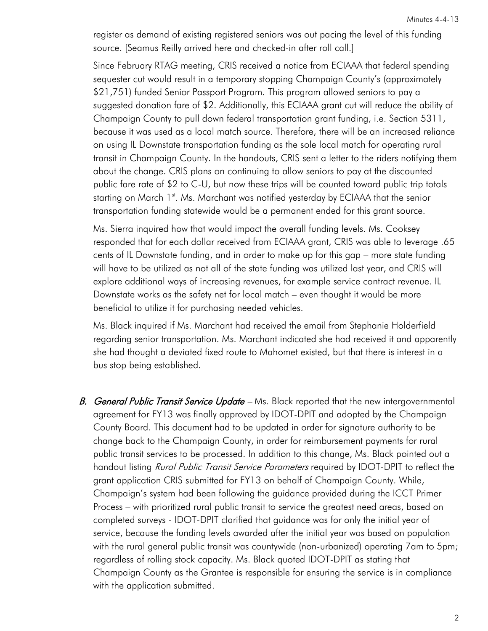register as demand of existing registered seniors was out pacing the level of this funding source. [Seamus Reilly arrived here and checked-in after roll call.]

Since February RTAG meeting, CRIS received a notice from ECIAAA that federal spending sequester cut would result in a temporary stopping Champaign County's (approximately \$21,751) funded Senior Passport Program. This program allowed seniors to pay a suggested donation fare of \$2. Additionally, this ECIAAA grant cut will reduce the ability of Champaign County to pull down federal transportation grant funding, i.e. Section 5311, because it was used as a local match source. Therefore, there will be an increased reliance on using IL Downstate transportation funding as the sole local match for operating rural transit in Champaign County. In the handouts, CRIS sent a letter to the riders notifying them about the change. CRIS plans on continuing to allow seniors to pay at the discounted public fare rate of \$2 to C-U, but now these trips will be counted toward public trip totals starting on March 1<sup>st</sup>. Ms. Marchant was notified yesterday by ECIAAA that the senior transportation funding statewide would be a permanent ended for this grant source.

Ms. Sierra inquired how that would impact the overall funding levels. Ms. Cooksey responded that for each dollar received from ECIAAA grant, CRIS was able to leverage .65 cents of IL Downstate funding, and in order to make up for this gap – more state funding will have to be utilized as not all of the state funding was utilized last year, and CRIS will explore additional ways of increasing revenues, for example service contract revenue. IL Downstate works as the safety net for local match – even thought it would be more beneficial to utilize it for purchasing needed vehicles.

Ms. Black inquired if Ms. Marchant had received the email from Stephanie Holderfield regarding senior transportation. Ms. Marchant indicated she had received it and apparently she had thought a deviated fixed route to Mahomet existed, but that there is interest in a bus stop being established.

B. General Public Transit Service Update - Ms. Black reported that the new intergovernmental agreement for FY13 was finally approved by IDOT-DPIT and adopted by the Champaign County Board. This document had to be updated in order for signature authority to be change back to the Champaign County, in order for reimbursement payments for rural public transit services to be processed. In addition to this change, Ms. Black pointed out a handout listing *Rural Public Transit Service Parameters* required by IDOT-DPIT to reflect the grant application CRIS submitted for FY13 on behalf of Champaign County. While, Champaign's system had been following the guidance provided during the ICCT Primer Process – with prioritized rural public transit to service the greatest need areas, based on completed surveys - IDOT-DPIT clarified that guidance was for only the initial year of service, because the funding levels awarded after the initial year was based on population with the rural general public transit was countywide (non-urbanized) operating 7am to 5pm; regardless of rolling stock capacity. Ms. Black quoted IDOT-DPIT as stating that Champaign County as the Grantee is responsible for ensuring the service is in compliance with the application submitted.